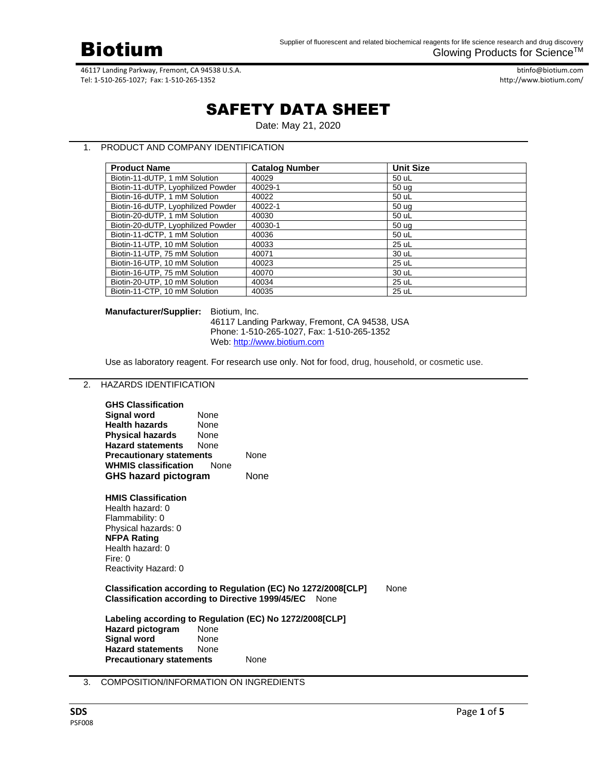

btinfo@biotium.com http://www.biotium.com/

# SAFETY DATA SHEET

Date: May 21, 2020

# 1. PRODUCT AND COMPANY IDENTIFICATION

| <b>Product Name</b>                | <b>Catalog Number</b> | <b>Unit Size</b> |
|------------------------------------|-----------------------|------------------|
| Biotin-11-dUTP, 1 mM Solution      | 40029                 | 50 uL            |
| Biotin-11-dUTP, Lyophilized Powder | 40029-1               | 50 ug            |
| Biotin-16-dUTP, 1 mM Solution      | 40022                 | 50 uL            |
| Biotin-16-dUTP, Lyophilized Powder | 40022-1               | 50 ug            |
| Biotin-20-dUTP, 1 mM Solution      | 40030                 | 50 uL            |
| Biotin-20-dUTP, Lyophilized Powder | 40030-1               | 50 ug            |
| Biotin-11-dCTP, 1 mM Solution      | 40036                 | 50 uL            |
| Biotin-11-UTP, 10 mM Solution      | 40033                 | 25 uL            |
| Biotin-11-UTP, 75 mM Solution      | 40071                 | 30 uL            |
| Biotin-16-UTP, 10 mM Solution      | 40023                 | 25 uL            |
| Biotin-16-UTP, 75 mM Solution      | 40070                 | 30 uL            |
| Biotin-20-UTP, 10 mM Solution      | 40034                 | 25 uL            |
| Biotin-11-CTP, 10 mM Solution      | 40035                 | 25 uL            |

## **Manufacturer/Supplier:** Biotium, Inc.

46117 Landing Parkway, Fremont, CA 94538, USA Phone: 1-510-265-1027, Fax: 1-510-265-1352 Web[: http://www.biotium.com](http://www.biotium.com/)

Use as laboratory reagent. For research use only. Not for food, drug, household, or cosmetic use.

# 2. HAZARDS IDENTIFICATION

| <b>GHS Classification</b><br><b>Signal word</b><br><b>Health hazards</b><br>Physical hazards<br><b>Hazard statements</b><br><b>Precautionary statements</b><br><b>WHMIS classification</b><br>GHS hazard pictogram    | <b>None</b><br><b>None</b><br><b>None</b><br><b>None</b><br><b>None</b> | None<br>None |  |  |
|-----------------------------------------------------------------------------------------------------------------------------------------------------------------------------------------------------------------------|-------------------------------------------------------------------------|--------------|--|--|
| <b>HMIS Classification</b><br>Health hazard: 0<br>Flammability: 0<br>Physical hazards: 0<br><b>NFPA Rating</b><br>Health hazard: 0<br>Fire: $0$<br>Reactivity Hazard: 0                                               |                                                                         |              |  |  |
| Classification according to Regulation (EC) No 1272/2008 [CLP]<br>None<br><b>Classification according to Directive 1999/45/EC</b><br>None                                                                             |                                                                         |              |  |  |
| Labeling according to Regulation (EC) No 1272/2008[CLP]<br><b>Hazard pictogram</b><br><b>None</b><br><b>Signal word</b><br>None<br><b>Hazard statements</b><br><b>None</b><br><b>Precautionary statements</b><br>None |                                                                         |              |  |  |

# 3. COMPOSITION/INFORMATION ON INGREDIENTS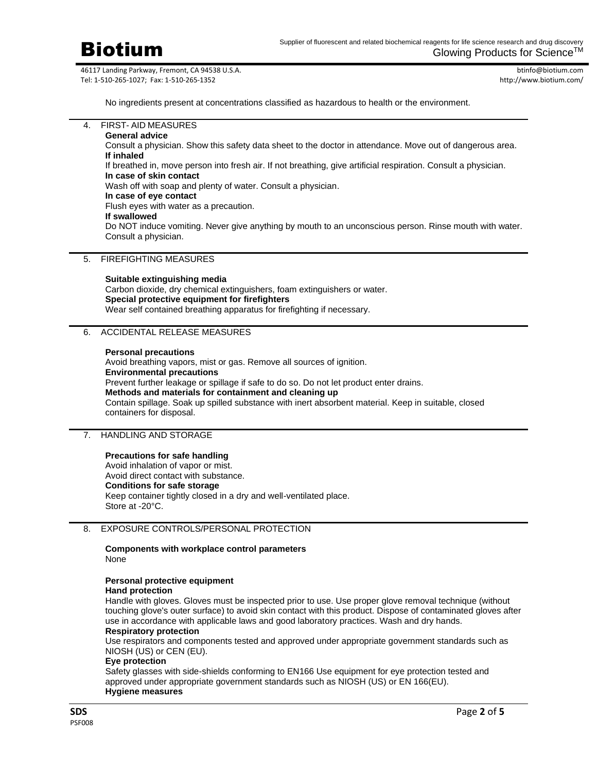

btinfo@biotium.com http://www.biotium.com/

No ingredients present at concentrations classified as hazardous to health or the environment.

4. FIRST- AID MEASURES **General advice** Consult a physician. Show this safety data sheet to the doctor in attendance. Move out of dangerous area. **If inhaled** If breathed in, move person into fresh air. If not breathing, give artificial respiration. Consult a physician. **In case of skin contact** Wash off with soap and plenty of water. Consult a physician. **In case of eye contact**

Flush eyes with water as a precaution.

**If swallowed**

Do NOT induce vomiting. Never give anything by mouth to an unconscious person. Rinse mouth with water. Consult a physician.

# 5. FIREFIGHTING MEASURES

**Suitable extinguishing media** Carbon dioxide, dry chemical extinguishers, foam extinguishers or water. **Special protective equipment for firefighters** Wear self contained breathing apparatus for firefighting if necessary.

### 6. ACCIDENTAL RELEASE MEASURES

#### **Personal precautions**

Avoid breathing vapors, mist or gas. Remove all sources of ignition. **Environmental precautions** Prevent further leakage or spillage if safe to do so. Do not let product enter drains. **Methods and materials for containment and cleaning up** Contain spillage. Soak up spilled substance with inert absorbent material. Keep in suitable, closed containers for disposal.

## 7. HANDLING AND STORAGE

#### **Precautions for safe handling**

Avoid inhalation of vapor or mist. Avoid direct contact with substance. **Conditions for safe storage** Keep container tightly closed in a dry and well-ventilated place. Store at -20°C.

# 8. EXPOSURE CONTROLS/PERSONAL PROTECTION

**Components with workplace control parameters** None

# **Personal protective equipment**

# **Hand protection**

Handle with gloves. Gloves must be inspected prior to use. Use proper glove removal technique (without touching glove's outer surface) to avoid skin contact with this product. Dispose of contaminated gloves after use in accordance with applicable laws and good laboratory practices. Wash and dry hands. **Respiratory protection**

Use respirators and components tested and approved under appropriate government standards such as NIOSH (US) or CEN (EU).

#### **Eye protection**

Safety glasses with side-shields conforming to EN166 Use equipment for eye protection tested and approved under appropriate government standards such as NIOSH (US) or EN 166(EU). **Hygiene measures**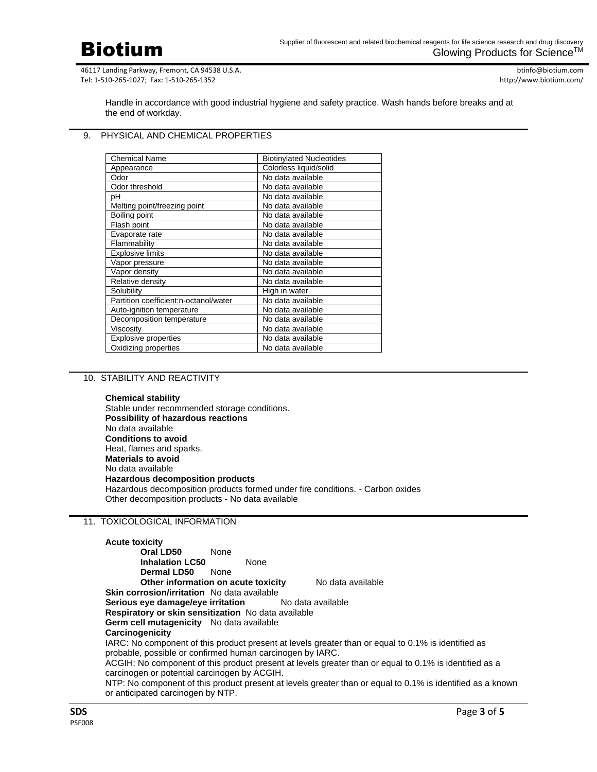Biotium

46117 Landing Parkway, Fremont, CA 94538 U.S.A. Tel: 1-510-265-1027; Fax: 1-510-265-1352

btinfo@biotium.com http://www.biotium.com/

Handle in accordance with good industrial hygiene and safety practice. Wash hands before breaks and at the end of workday.

# 9. PHYSICAL AND CHEMICAL PROPERTIES

| <b>Chemical Name</b>                  | <b>Biotinylated Nucleotides</b> |
|---------------------------------------|---------------------------------|
| Appearance                            | Colorless liquid/solid          |
| Odor                                  | No data available               |
| Odor threshold                        | No data available               |
| рH                                    | No data available               |
| Melting point/freezing point          | No data available               |
| Boiling point                         | No data available               |
| Flash point                           | No data available               |
| Evaporate rate                        | No data available               |
| Flammability                          | No data available               |
| <b>Explosive limits</b>               | No data available               |
| Vapor pressure                        | No data available               |
| Vapor density                         | No data available               |
| Relative density                      | No data available               |
| Solubility                            | High in water                   |
| Partition coefficient:n-octanol/water | No data available               |
| Auto-ignition temperature             | No data available               |
| Decomposition temperature             | No data available               |
| Viscositv                             | No data available               |
| <b>Explosive properties</b>           | No data available               |
| Oxidizing properties                  | No data available               |

## 10. STABILITY AND REACTIVITY

**Chemical stability**

Stable under recommended storage conditions. **Possibility of hazardous reactions** No data available **Conditions to avoid** Heat, flames and sparks. **Materials to avoid** No data available **Hazardous decomposition products** Hazardous decomposition products formed under fire conditions. - Carbon oxides Other decomposition products - No data available

#### 11. TOXICOLOGICAL INFORMATION

**Acute toxicity Oral LD50** None **Inhalation LC50** None **Dermal LD50** None **Other information on acute toxicity** No data available **Skin corrosion/irritation** No data available **Serious eye damage/eye irritation** No data available **Respiratory or skin sensitization** No data available **Germ cell mutagenicity** No data available **Carcinogenicity** IARC: No component of this product present at levels greater than or equal to 0.1% is identified as probable, possible or confirmed human carcinogen by IARC. ACGIH: No component of this product present at levels greater than or equal to 0.1% is identified as a carcinogen or potential carcinogen by ACGIH. NTP: No component of this product present at levels greater than or equal to 0.1% is identified as a known or anticipated carcinogen by NTP.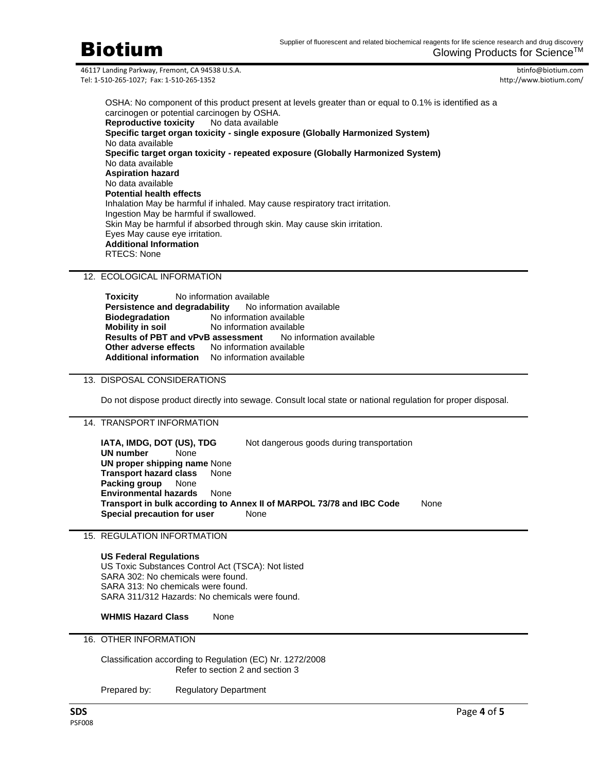

btinfo@biotium.com http://www.biotium.com/

OSHA: No component of this product present at levels greater than or equal to 0.1% is identified as a carcinogen or potential carcinogen by OSHA. **Reproductive toxicity** No data available **Specific target organ toxicity - single exposure (Globally Harmonized System)** No data available **Specific target organ toxicity - repeated exposure (Globally Harmonized System)** No data available **Aspiration hazard** No data available **Potential health effects** Inhalation May be harmful if inhaled. May cause respiratory tract irritation. Ingestion May be harmful if swallowed. Skin May be harmful if absorbed through skin. May cause skin irritation. Eyes May cause eye irritation. **Additional Information** RTECS: None

# 12. ECOLOGICAL INFORMATION

**Toxicity** No information available **Persistence and degradability** No information available **Biodegradation** No information available<br>**Mobility in soil** No information available **No information available<br><b>Bility in Sole**<br>**Bility in Solet Available**<br>**Mo** information available **Results of PBT and vPvB assessment Other adverse effects** No information available **Additional information** No information available

# 13. DISPOSAL CONSIDERATIONS

Do not dispose product directly into sewage. Consult local state or national regulation for proper disposal.

## 14. TRANSPORT INFORMATION

**IATA, IMDG, DOT (US), TDG** Not dangerous goods during transportation **UN number** None **UN proper shipping name** None **Transport hazard class** None **Packing group** None **Environmental hazards** None **Transport in bulk according to Annex II of MARPOL 73/78 and IBC Code** None **Special precaution for user** None

### 15. REGULATION INFORTMATION

#### **US Federal Regulations**

US Toxic Substances Control Act (TSCA): Not listed SARA 302: No chemicals were found. SARA 313: No chemicals were found. SARA 311/312 Hazards: No chemicals were found.

**WHMIS Hazard Class** None

16. OTHER INFORMATION

Classification according to Regulation (EC) Nr. 1272/2008 Refer to section 2 and section 3

Prepared by: Regulatory Department